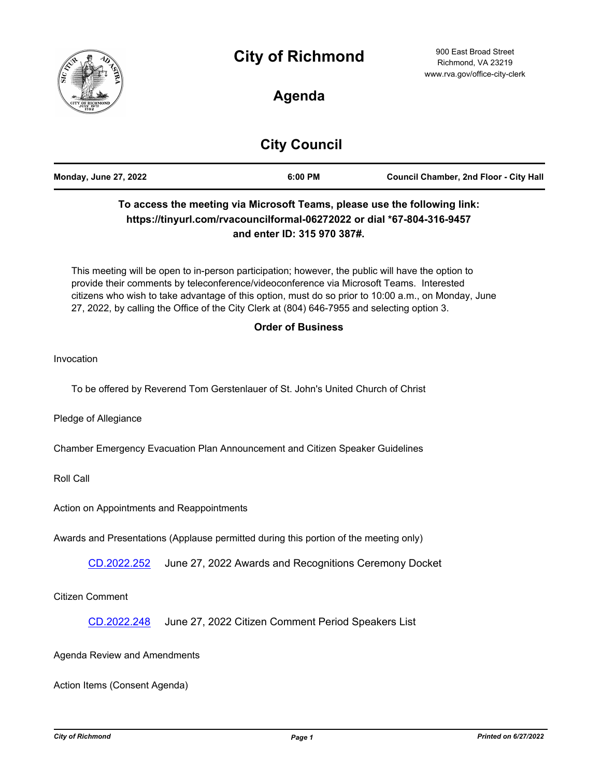



# **Agenda**

# **City Council**

| <b>Monday, June 27, 2022</b> | 6:00 PM | <b>Council Chamber, 2nd Floor - City Hall</b> |
|------------------------------|---------|-----------------------------------------------|
|                              |         |                                               |

# **To access the meeting via Microsoft Teams, please use the following link: https://tinyurl.com/rvacouncilformal-06272022 or dial \*67-804-316-9457 and enter ID: 315 970 387#.**

This meeting will be open to in-person participation; however, the public will have the option to provide their comments by teleconference/videoconference via Microsoft Teams. Interested citizens who wish to take advantage of this option, must do so prior to 10:00 a.m., on Monday, June 27, 2022, by calling the Office of the City Clerk at (804) 646-7955 and selecting option 3.

### **Order of Business**

Invocation

To be offered by Reverend Tom Gerstenlauer of St. John's United Church of Christ

Pledge of Allegiance

Chamber Emergency Evacuation Plan Announcement and Citizen Speaker Guidelines

Roll Call

Action on Appointments and Reappointments

Awards and Presentations (Applause permitted during this portion of the meeting only)

[CD.2022.252](http://richmondva.legistar.com/gateway.aspx?m=l&id=/matter.aspx?key=32362) June 27, 2022 Awards and Recognitions Ceremony Docket

Citizen Comment

[CD.2022.248](http://richmondva.legistar.com/gateway.aspx?m=l&id=/matter.aspx?key=32358) June 27, 2022 Citizen Comment Period Speakers List

#### Agenda Review and Amendments

Action Items (Consent Agenda)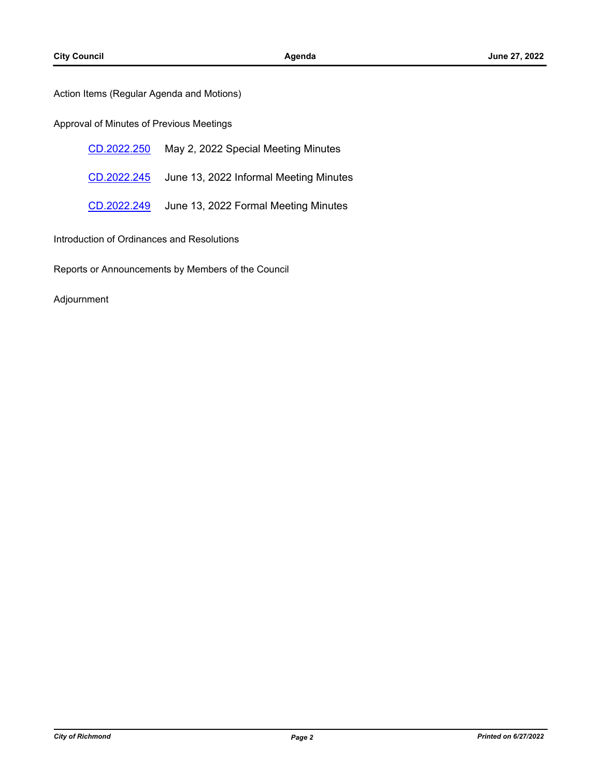Action Items (Regular Agenda and Motions)

### Approval of Minutes of Previous Meetings

| CD.2022.250 | May 2, 2022 Special Meeting Minutes    |
|-------------|----------------------------------------|
| CD.2022.245 | June 13, 2022 Informal Meeting Minutes |
| CD.2022.249 | June 13, 2022 Formal Meeting Minutes   |

Introduction of Ordinances and Resolutions

Reports or Announcements by Members of the Council

#### Adjournment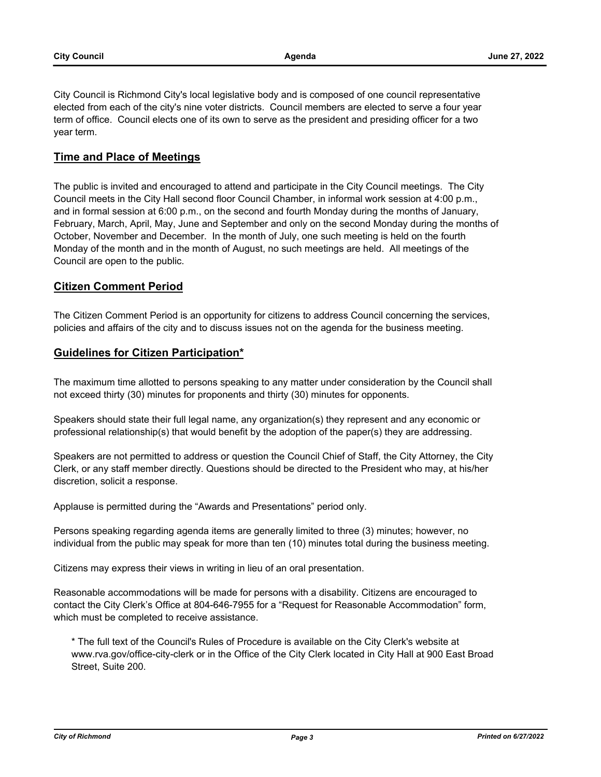City Council is Richmond City's local legislative body and is composed of one council representative elected from each of the city's nine voter districts. Council members are elected to serve a four year term of office. Council elects one of its own to serve as the president and presiding officer for a two year term.

### **Time and Place of Meetings**

The public is invited and encouraged to attend and participate in the City Council meetings. The City Council meets in the City Hall second floor Council Chamber, in informal work session at 4:00 p.m., and in formal session at 6:00 p.m., on the second and fourth Monday during the months of January, February, March, April, May, June and September and only on the second Monday during the months of October, November and December. In the month of July, one such meeting is held on the fourth Monday of the month and in the month of August, no such meetings are held. All meetings of the Council are open to the public.

## **Citizen Comment Period**

The Citizen Comment Period is an opportunity for citizens to address Council concerning the services, policies and affairs of the city and to discuss issues not on the agenda for the business meeting.

## **Guidelines for Citizen Participation\***

The maximum time allotted to persons speaking to any matter under consideration by the Council shall not exceed thirty (30) minutes for proponents and thirty (30) minutes for opponents.

Speakers should state their full legal name, any organization(s) they represent and any economic or professional relationship(s) that would benefit by the adoption of the paper(s) they are addressing.

Speakers are not permitted to address or question the Council Chief of Staff, the City Attorney, the City Clerk, or any staff member directly. Questions should be directed to the President who may, at his/her discretion, solicit a response.

Applause is permitted during the "Awards and Presentations" period only.

Persons speaking regarding agenda items are generally limited to three (3) minutes; however, no individual from the public may speak for more than ten (10) minutes total during the business meeting.

Citizens may express their views in writing in lieu of an oral presentation.

Reasonable accommodations will be made for persons with a disability. Citizens are encouraged to contact the City Clerk's Office at 804-646-7955 for a "Request for Reasonable Accommodation" form, which must be completed to receive assistance.

\* The full text of the Council's Rules of Procedure is available on the City Clerk's website at www.rva.gov/office-city-clerk or in the Office of the City Clerk located in City Hall at 900 East Broad Street, Suite 200.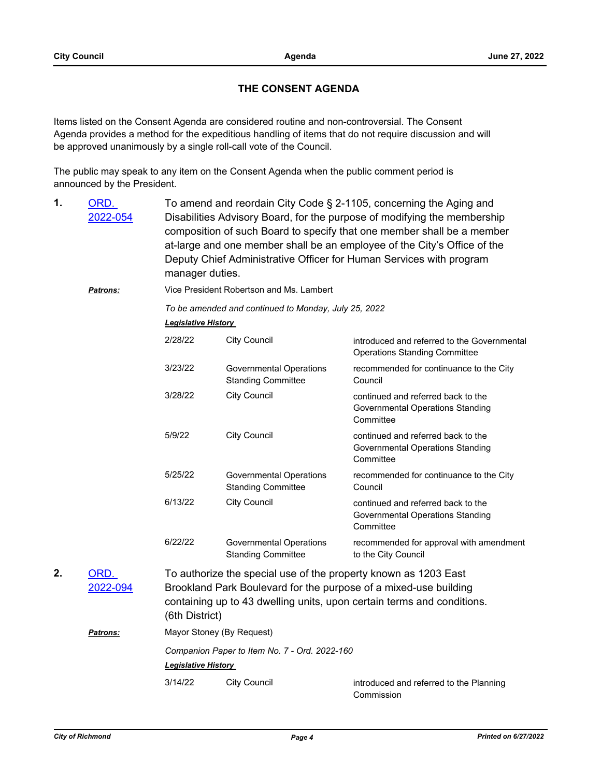# **THE CONSENT AGENDA**

Items listed on the Consent Agenda are considered routine and non-controversial. The Consent Agenda provides a method for the expeditious handling of items that do not require discussion and will be approved unanimously by a single roll-call vote of the Council.

The public may speak to any item on the Consent Agenda when the public comment period is announced by the President.

- To amend and reordain City Code § 2-1105, concerning the Aging and Disabilities Advisory Board, for the purpose of modifying the membership composition of such Board to specify that one member shall be a member at-large and one member shall be an employee of the City's Office of the Deputy Chief Administrative Officer for Human Services with program manager duties. ORD. [2022-054](http://richmondva.legistar.com/gateway.aspx?m=l&id=/matter.aspx?key=31736) **1.**
	- *Patrons:* Vice President Robertson and Ms. Lambert

*To be amended and continued to Monday, July 25, 2022*

*Legislative History* 

| 2/28/22                                                                                                                                                                                                                        | City Council                                         | introduced and referred to the Governmental<br><b>Operations Standing Committee</b> |  |  |
|--------------------------------------------------------------------------------------------------------------------------------------------------------------------------------------------------------------------------------|------------------------------------------------------|-------------------------------------------------------------------------------------|--|--|
| 3/23/22                                                                                                                                                                                                                        | Governmental Operations<br><b>Standing Committee</b> | recommended for continuance to the City<br>Council                                  |  |  |
| 3/28/22                                                                                                                                                                                                                        | <b>City Council</b>                                  | continued and referred back to the<br>Governmental Operations Standing<br>Committee |  |  |
| 5/9/22                                                                                                                                                                                                                         | <b>City Council</b>                                  | continued and referred back to the<br>Governmental Operations Standing<br>Committee |  |  |
| 5/25/22                                                                                                                                                                                                                        | Governmental Operations<br><b>Standing Committee</b> | recommended for continuance to the City<br>Council                                  |  |  |
| 6/13/22                                                                                                                                                                                                                        | <b>City Council</b>                                  | continued and referred back to the<br>Governmental Operations Standing<br>Committee |  |  |
| 6/22/22                                                                                                                                                                                                                        | Governmental Operations<br><b>Standing Committee</b> | recommended for approval with amendment<br>to the City Council                      |  |  |
| To authorize the special use of the property known as 1203 East<br>Brookland Park Boulevard for the purpose of a mixed-use building<br>containing up to 43 dwelling units, upon certain terms and conditions.<br>6th District) |                                                      |                                                                                     |  |  |

# *Patrons:* Mayor Stoney (By Request) *Companion Paper to Item No. 7 - Ord. 2022-160 Legislative History*  3/14/22 City Council introduced and referred to the Planning Commission

ORD. [2022-094](http://richmondva.legistar.com/gateway.aspx?m=l&id=/matter.aspx?key=31634)

**2.**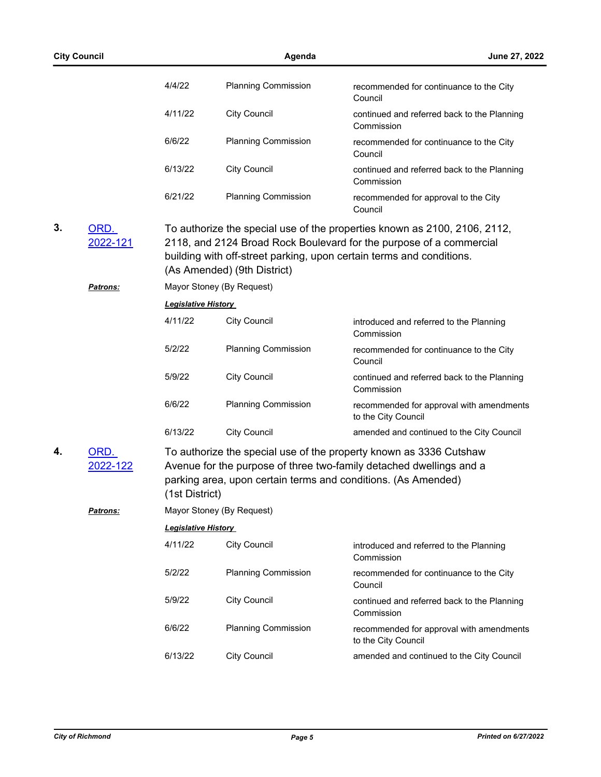|    | <b>City Council</b>          |                            | Agenda                                                   |                                                                                                                                                                                                                          |  |
|----|------------------------------|----------------------------|----------------------------------------------------------|--------------------------------------------------------------------------------------------------------------------------------------------------------------------------------------------------------------------------|--|
|    |                              | 4/4/22                     | <b>Planning Commission</b>                               | recommended for continuance to the City<br>Council                                                                                                                                                                       |  |
|    |                              | 4/11/22                    | <b>City Council</b>                                      | continued and referred back to the Planning<br>Commission                                                                                                                                                                |  |
|    |                              | 6/6/22                     | <b>Planning Commission</b>                               | recommended for continuance to the City<br>Council                                                                                                                                                                       |  |
|    |                              | 6/13/22                    | <b>City Council</b>                                      | continued and referred back to the Planning<br>Commission                                                                                                                                                                |  |
|    |                              | 6/21/22                    | <b>Planning Commission</b>                               | recommended for approval to the City<br>Council                                                                                                                                                                          |  |
| 3. | ORD.<br>2022-121<br>Patrons: |                            | (As Amended) (9th District)<br>Mayor Stoney (By Request) | To authorize the special use of the properties known as 2100, 2106, 2112,<br>2118, and 2124 Broad Rock Boulevard for the purpose of a commercial<br>building with off-street parking, upon certain terms and conditions. |  |
|    |                              | <b>Legislative History</b> |                                                          |                                                                                                                                                                                                                          |  |
|    |                              | 4/11/22                    | <b>City Council</b>                                      | introduced and referred to the Planning<br>Commission                                                                                                                                                                    |  |
|    |                              | 5/2/22                     | <b>Planning Commission</b>                               | recommended for continuance to the City<br>Council                                                                                                                                                                       |  |
|    |                              | 5/9/22                     | <b>City Council</b>                                      | continued and referred back to the Planning<br>Commission                                                                                                                                                                |  |
|    |                              | 6/6/22                     | <b>Planning Commission</b>                               | recommended for approval with amendments<br>to the City Council                                                                                                                                                          |  |
|    |                              | 6/13/22                    | <b>City Council</b>                                      | amended and continued to the City Council                                                                                                                                                                                |  |
| 4. | ORD.<br>2022-122             | (1st District)             |                                                          | To authorize the special use of the property known as 3336 Cutshaw<br>Avenue for the purpose of three two-family detached dwellings and a<br>parking area, upon certain terms and conditions. (As Amended)               |  |
|    | <u>Patrons:</u>              |                            | Mayor Stoney (By Request)                                |                                                                                                                                                                                                                          |  |
|    |                              | <b>Legislative History</b> |                                                          |                                                                                                                                                                                                                          |  |
|    |                              | 4/11/22                    | <b>City Council</b>                                      | introduced and referred to the Planning<br>Commission                                                                                                                                                                    |  |
|    |                              | 5/2/22                     | <b>Planning Commission</b>                               | recommended for continuance to the City<br>Council                                                                                                                                                                       |  |
|    |                              | 5/9/22                     | <b>City Council</b>                                      | continued and referred back to the Planning<br>Commission                                                                                                                                                                |  |
|    |                              | 6/6/22                     | <b>Planning Commission</b>                               | recommended for approval with amendments<br>to the City Council                                                                                                                                                          |  |
|    |                              | 6/13/22                    | <b>City Council</b>                                      | amended and continued to the City Council                                                                                                                                                                                |  |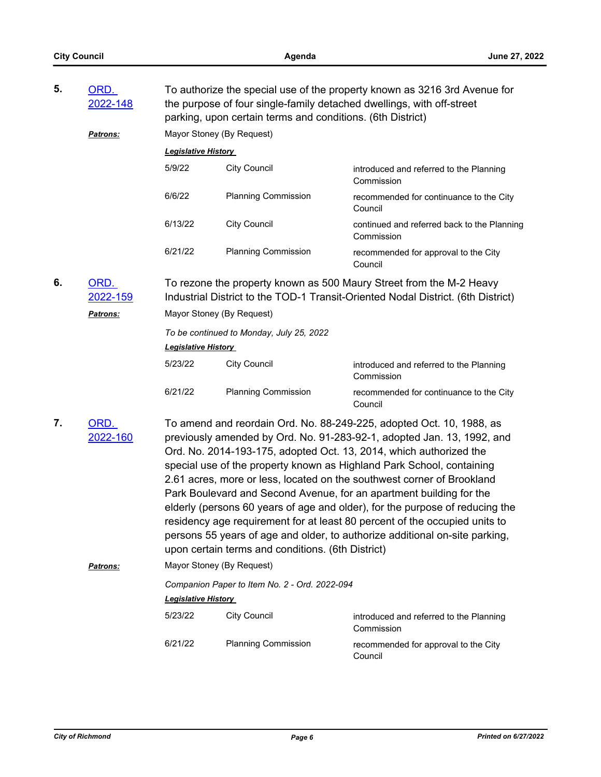| 5.                     | ORD.<br>2022-148 |                                                                                                                                                         | parking, upon certain terms and conditions. (6th District)                                                                                                                                                                                                                                                                                                                                                                                                                                                                                                                                                                                                                                  | To authorize the special use of the property known as 3216 3rd Avenue for<br>the purpose of four single-family detached dwellings, with off-street |  |  |
|------------------------|------------------|---------------------------------------------------------------------------------------------------------------------------------------------------------|---------------------------------------------------------------------------------------------------------------------------------------------------------------------------------------------------------------------------------------------------------------------------------------------------------------------------------------------------------------------------------------------------------------------------------------------------------------------------------------------------------------------------------------------------------------------------------------------------------------------------------------------------------------------------------------------|----------------------------------------------------------------------------------------------------------------------------------------------------|--|--|
|                        | Patrons:         | Mayor Stoney (By Request)                                                                                                                               |                                                                                                                                                                                                                                                                                                                                                                                                                                                                                                                                                                                                                                                                                             |                                                                                                                                                    |  |  |
|                        |                  | <b>Legislative History</b>                                                                                                                              |                                                                                                                                                                                                                                                                                                                                                                                                                                                                                                                                                                                                                                                                                             |                                                                                                                                                    |  |  |
|                        |                  | 5/9/22                                                                                                                                                  | <b>City Council</b>                                                                                                                                                                                                                                                                                                                                                                                                                                                                                                                                                                                                                                                                         | introduced and referred to the Planning<br>Commission                                                                                              |  |  |
|                        |                  | 6/6/22                                                                                                                                                  | <b>Planning Commission</b>                                                                                                                                                                                                                                                                                                                                                                                                                                                                                                                                                                                                                                                                  | recommended for continuance to the City<br>Council                                                                                                 |  |  |
|                        |                  | 6/13/22                                                                                                                                                 | <b>City Council</b>                                                                                                                                                                                                                                                                                                                                                                                                                                                                                                                                                                                                                                                                         | continued and referred back to the Planning<br>Commission                                                                                          |  |  |
|                        |                  | 6/21/22                                                                                                                                                 | <b>Planning Commission</b>                                                                                                                                                                                                                                                                                                                                                                                                                                                                                                                                                                                                                                                                  | recommended for approval to the City<br>Council                                                                                                    |  |  |
| 6.                     | ORD.<br>2022-159 | To rezone the property known as 500 Maury Street from the M-2 Heavy<br>Industrial District to the TOD-1 Transit-Oriented Nodal District. (6th District) |                                                                                                                                                                                                                                                                                                                                                                                                                                                                                                                                                                                                                                                                                             |                                                                                                                                                    |  |  |
|                        | Patrons:         | Mayor Stoney (By Request)                                                                                                                               |                                                                                                                                                                                                                                                                                                                                                                                                                                                                                                                                                                                                                                                                                             |                                                                                                                                                    |  |  |
|                        |                  | To be continued to Monday, July 25, 2022<br><b>Legislative History</b>                                                                                  |                                                                                                                                                                                                                                                                                                                                                                                                                                                                                                                                                                                                                                                                                             |                                                                                                                                                    |  |  |
|                        |                  | 5/23/22                                                                                                                                                 | <b>City Council</b>                                                                                                                                                                                                                                                                                                                                                                                                                                                                                                                                                                                                                                                                         | introduced and referred to the Planning<br>Commission                                                                                              |  |  |
|                        |                  | 6/21/22                                                                                                                                                 | <b>Planning Commission</b>                                                                                                                                                                                                                                                                                                                                                                                                                                                                                                                                                                                                                                                                  | recommended for continuance to the City<br>Council                                                                                                 |  |  |
| 7.<br>ORD.<br>2022-160 |                  | upon certain terms and conditions. (6th District)                                                                                                       | To amend and reordain Ord. No. 88-249-225, adopted Oct. 10, 1988, as<br>previously amended by Ord. No. 91-283-92-1, adopted Jan. 13, 1992, and<br>Ord. No. 2014-193-175, adopted Oct. 13, 2014, which authorized the<br>special use of the property known as Highland Park School, containing<br>2.61 acres, more or less, located on the southwest corner of Brookland<br>Park Boulevard and Second Avenue, for an apartment building for the<br>elderly (persons 60 years of age and older), for the purpose of reducing the<br>residency age requirement for at least 80 percent of the occupied units to<br>persons 55 years of age and older, to authorize additional on-site parking, |                                                                                                                                                    |  |  |
|                        | Patrons:         | Mayor Stoney (By Request)                                                                                                                               |                                                                                                                                                                                                                                                                                                                                                                                                                                                                                                                                                                                                                                                                                             |                                                                                                                                                    |  |  |
|                        |                  | <b>Legislative History</b>                                                                                                                              | Companion Paper to Item No. 2 - Ord. 2022-094                                                                                                                                                                                                                                                                                                                                                                                                                                                                                                                                                                                                                                               |                                                                                                                                                    |  |  |
|                        |                  | 5/23/22                                                                                                                                                 | <b>City Council</b>                                                                                                                                                                                                                                                                                                                                                                                                                                                                                                                                                                                                                                                                         | introduced and referred to the Planning<br>Commission                                                                                              |  |  |
|                        |                  | 6/21/22                                                                                                                                                 | <b>Planning Commission</b>                                                                                                                                                                                                                                                                                                                                                                                                                                                                                                                                                                                                                                                                  | recommended for approval to the City<br>Council                                                                                                    |  |  |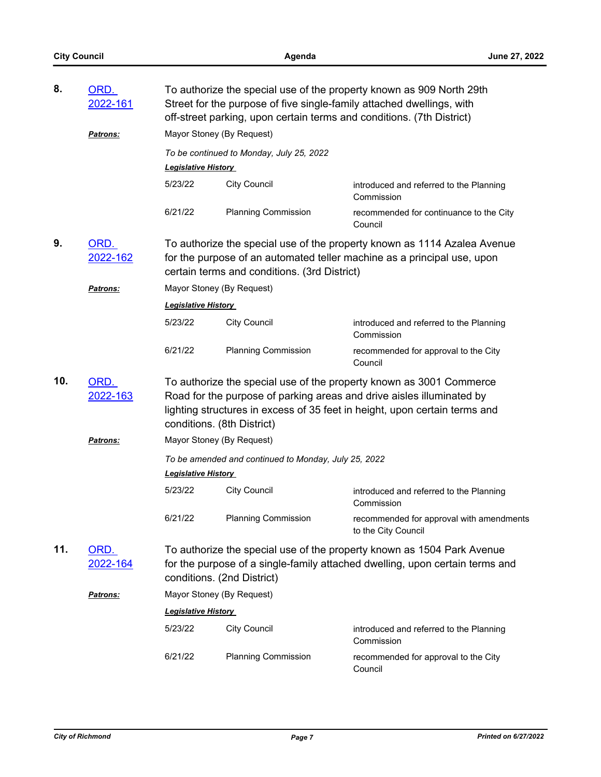| 8.  | <u>ORD.</u><br>2022-161 | To authorize the special use of the property known as 909 North 29th<br>Street for the purpose of five single-family attached dwellings, with<br>off-street parking, upon certain terms and conditions. (7th District)                                   |                                          |                                                                 |  |  |
|-----|-------------------------|----------------------------------------------------------------------------------------------------------------------------------------------------------------------------------------------------------------------------------------------------------|------------------------------------------|-----------------------------------------------------------------|--|--|
|     | <b>Patrons:</b>         |                                                                                                                                                                                                                                                          | Mayor Stoney (By Request)                |                                                                 |  |  |
|     |                         | <b>Legislative History</b>                                                                                                                                                                                                                               | To be continued to Monday, July 25, 2022 |                                                                 |  |  |
|     |                         | 5/23/22                                                                                                                                                                                                                                                  | <b>City Council</b>                      | introduced and referred to the Planning<br>Commission           |  |  |
|     |                         | 6/21/22                                                                                                                                                                                                                                                  | <b>Planning Commission</b>               | recommended for continuance to the City<br>Council              |  |  |
| 9.  | ORD.<br><u>2022-162</u> | To authorize the special use of the property known as 1114 Azalea Avenue<br>for the purpose of an automated teller machine as a principal use, upon<br>certain terms and conditions. (3rd District)                                                      |                                          |                                                                 |  |  |
|     | <b>Patrons:</b>         | Mayor Stoney (By Request)                                                                                                                                                                                                                                |                                          |                                                                 |  |  |
|     |                         | <b>Legislative History</b>                                                                                                                                                                                                                               |                                          |                                                                 |  |  |
|     |                         | 5/23/22                                                                                                                                                                                                                                                  | <b>City Council</b>                      | introduced and referred to the Planning<br>Commission           |  |  |
|     |                         | 6/21/22                                                                                                                                                                                                                                                  | <b>Planning Commission</b>               | recommended for approval to the City<br>Council                 |  |  |
| 10. | ORD.<br>2022-163        | To authorize the special use of the property known as 3001 Commerce<br>Road for the purpose of parking areas and drive aisles illuminated by<br>lighting structures in excess of 35 feet in height, upon certain terms and<br>conditions. (8th District) |                                          |                                                                 |  |  |
|     | <b>Patrons:</b>         | Mayor Stoney (By Request)                                                                                                                                                                                                                                |                                          |                                                                 |  |  |
|     |                         | To be amended and continued to Monday, July 25, 2022<br><b>Legislative History</b>                                                                                                                                                                       |                                          |                                                                 |  |  |
|     |                         | 5/23/22                                                                                                                                                                                                                                                  | <b>City Council</b>                      | introduced and referred to the Planning<br>Commission           |  |  |
|     |                         | 6/21/22                                                                                                                                                                                                                                                  | <b>Planning Commission</b>               | recommended for approval with amendments<br>to the City Council |  |  |
| 11. | ORD.<br>2022-164        | To authorize the special use of the property known as 1504 Park Avenue<br>for the purpose of a single-family attached dwelling, upon certain terms and<br>conditions. (2nd District)                                                                     |                                          |                                                                 |  |  |
|     | <b>Patrons:</b>         |                                                                                                                                                                                                                                                          | Mayor Stoney (By Request)                |                                                                 |  |  |
|     |                         | Legislative History                                                                                                                                                                                                                                      |                                          |                                                                 |  |  |
|     |                         | 5/23/22                                                                                                                                                                                                                                                  | <b>City Council</b>                      | introduced and referred to the Planning<br>Commission           |  |  |
|     |                         | 6/21/22                                                                                                                                                                                                                                                  | <b>Planning Commission</b>               | recommended for approval to the City<br>Council                 |  |  |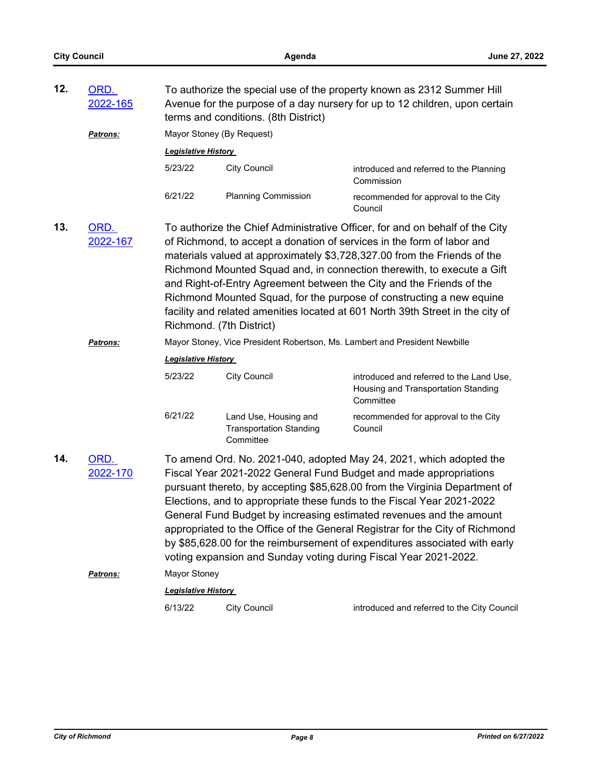| 12. | ORD.<br>2022-165 | To authorize the special use of the property known as 2312 Summer Hill<br>Avenue for the purpose of a day nursery for up to 12 children, upon certain<br>terms and conditions. (8th District)                                                                                                                                                                                                                                                                                                                                                                                                             |                                                                      |                                                                                                                                                                                                                                                                                                                                                                                                                                                                                                                                                |  |
|-----|------------------|-----------------------------------------------------------------------------------------------------------------------------------------------------------------------------------------------------------------------------------------------------------------------------------------------------------------------------------------------------------------------------------------------------------------------------------------------------------------------------------------------------------------------------------------------------------------------------------------------------------|----------------------------------------------------------------------|------------------------------------------------------------------------------------------------------------------------------------------------------------------------------------------------------------------------------------------------------------------------------------------------------------------------------------------------------------------------------------------------------------------------------------------------------------------------------------------------------------------------------------------------|--|
|     | Patrons:         | Mayor Stoney (By Request)                                                                                                                                                                                                                                                                                                                                                                                                                                                                                                                                                                                 |                                                                      |                                                                                                                                                                                                                                                                                                                                                                                                                                                                                                                                                |  |
|     |                  | <b>Legislative History</b>                                                                                                                                                                                                                                                                                                                                                                                                                                                                                                                                                                                |                                                                      |                                                                                                                                                                                                                                                                                                                                                                                                                                                                                                                                                |  |
|     |                  | 5/23/22                                                                                                                                                                                                                                                                                                                                                                                                                                                                                                                                                                                                   | <b>City Council</b>                                                  | introduced and referred to the Planning<br>Commission                                                                                                                                                                                                                                                                                                                                                                                                                                                                                          |  |
|     |                  | 6/21/22                                                                                                                                                                                                                                                                                                                                                                                                                                                                                                                                                                                                   | <b>Planning Commission</b>                                           | recommended for approval to the City<br>Council                                                                                                                                                                                                                                                                                                                                                                                                                                                                                                |  |
| 13. | ORD.<br>2022-167 | Richmond. (7th District)                                                                                                                                                                                                                                                                                                                                                                                                                                                                                                                                                                                  |                                                                      | To authorize the Chief Administrative Officer, for and on behalf of the City<br>of Richmond, to accept a donation of services in the form of labor and<br>materials valued at approximately \$3,728,327.00 from the Friends of the<br>Richmond Mounted Squad and, in connection therewith, to execute a Gift<br>and Right-of-Entry Agreement between the City and the Friends of the<br>Richmond Mounted Squad, for the purpose of constructing a new equine<br>facility and related amenities located at 601 North 39th Street in the city of |  |
|     | <b>Patrons:</b>  | Mayor Stoney, Vice President Robertson, Ms. Lambert and President Newbille                                                                                                                                                                                                                                                                                                                                                                                                                                                                                                                                |                                                                      |                                                                                                                                                                                                                                                                                                                                                                                                                                                                                                                                                |  |
|     |                  | <b>Legislative History</b>                                                                                                                                                                                                                                                                                                                                                                                                                                                                                                                                                                                |                                                                      |                                                                                                                                                                                                                                                                                                                                                                                                                                                                                                                                                |  |
|     |                  | 5/23/22                                                                                                                                                                                                                                                                                                                                                                                                                                                                                                                                                                                                   | <b>City Council</b>                                                  | introduced and referred to the Land Use,<br>Housing and Transportation Standing<br>Committee                                                                                                                                                                                                                                                                                                                                                                                                                                                   |  |
|     |                  | 6/21/22                                                                                                                                                                                                                                                                                                                                                                                                                                                                                                                                                                                                   | Land Use, Housing and<br><b>Transportation Standing</b><br>Committee | recommended for approval to the City<br>Council                                                                                                                                                                                                                                                                                                                                                                                                                                                                                                |  |
| 14. | ORD.<br>2022-170 | To amend Ord. No. 2021-040, adopted May 24, 2021, which adopted the<br>Fiscal Year 2021-2022 General Fund Budget and made appropriations<br>pursuant thereto, by accepting \$85,628.00 from the Virginia Department of<br>Elections, and to appropriate these funds to the Fiscal Year 2021-2022<br>General Fund Budget by increasing estimated revenues and the amount<br>appropriated to the Office of the General Registrar for the City of Richmond<br>by \$85,628.00 for the reimbursement of expenditures associated with early<br>voting expansion and Sunday voting during Fiscal Year 2021-2022. |                                                                      |                                                                                                                                                                                                                                                                                                                                                                                                                                                                                                                                                |  |
|     | Patrons:         | Mayor Stoney                                                                                                                                                                                                                                                                                                                                                                                                                                                                                                                                                                                              |                                                                      |                                                                                                                                                                                                                                                                                                                                                                                                                                                                                                                                                |  |
|     |                  | <b>Legislative History</b>                                                                                                                                                                                                                                                                                                                                                                                                                                                                                                                                                                                |                                                                      |                                                                                                                                                                                                                                                                                                                                                                                                                                                                                                                                                |  |
|     |                  | 6/13/22                                                                                                                                                                                                                                                                                                                                                                                                                                                                                                                                                                                                   | <b>City Council</b>                                                  | introduced and referred to the City Council                                                                                                                                                                                                                                                                                                                                                                                                                                                                                                    |  |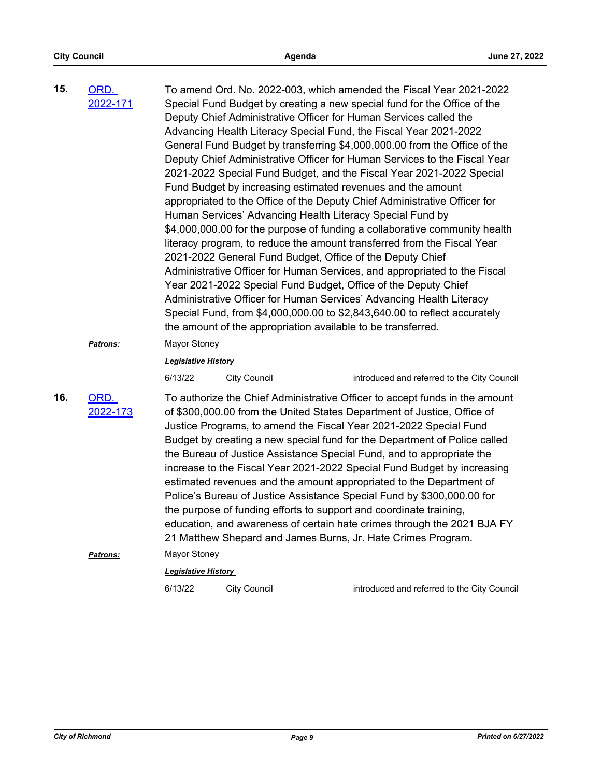| 15. | ORD.<br>2022-171 |                                       | Deputy Chief Administrative Officer for Human Services called the<br>Fund Budget by increasing estimated revenues and the amount<br>Human Services' Advancing Health Literacy Special Fund by<br>2021-2022 General Fund Budget, Office of the Deputy Chief<br>Year 2021-2022 Special Fund Budget, Office of the Deputy Chief<br>the amount of the appropriation available to be transferred. | To amend Ord. No. 2022-003, which amended the Fiscal Year 2021-2022<br>Special Fund Budget by creating a new special fund for the Office of the<br>Advancing Health Literacy Special Fund, the Fiscal Year 2021-2022<br>General Fund Budget by transferring \$4,000,000.00 from the Office of the<br>Deputy Chief Administrative Officer for Human Services to the Fiscal Year<br>2021-2022 Special Fund Budget, and the Fiscal Year 2021-2022 Special<br>appropriated to the Office of the Deputy Chief Administrative Officer for<br>\$4,000,000.00 for the purpose of funding a collaborative community health<br>literacy program, to reduce the amount transferred from the Fiscal Year<br>Administrative Officer for Human Services, and appropriated to the Fiscal<br>Administrative Officer for Human Services' Advancing Health Literacy<br>Special Fund, from \$4,000,000.00 to \$2,843,640.00 to reflect accurately |
|-----|------------------|---------------------------------------|----------------------------------------------------------------------------------------------------------------------------------------------------------------------------------------------------------------------------------------------------------------------------------------------------------------------------------------------------------------------------------------------|--------------------------------------------------------------------------------------------------------------------------------------------------------------------------------------------------------------------------------------------------------------------------------------------------------------------------------------------------------------------------------------------------------------------------------------------------------------------------------------------------------------------------------------------------------------------------------------------------------------------------------------------------------------------------------------------------------------------------------------------------------------------------------------------------------------------------------------------------------------------------------------------------------------------------------|
|     | Patrons:         | Mayor Stoney                          |                                                                                                                                                                                                                                                                                                                                                                                              |                                                                                                                                                                                                                                                                                                                                                                                                                                                                                                                                                                                                                                                                                                                                                                                                                                                                                                                                |
|     |                  | <b>Legislative History</b><br>6/13/22 | <b>City Council</b>                                                                                                                                                                                                                                                                                                                                                                          | introduced and referred to the City Council                                                                                                                                                                                                                                                                                                                                                                                                                                                                                                                                                                                                                                                                                                                                                                                                                                                                                    |
| 16. | ORD.<br>2022-173 |                                       | the purpose of funding efforts to support and coordinate training,<br>21 Matthew Shepard and James Burns, Jr. Hate Crimes Program.                                                                                                                                                                                                                                                           | To authorize the Chief Administrative Officer to accept funds in the amount<br>of \$300,000.00 from the United States Department of Justice, Office of<br>Justice Programs, to amend the Fiscal Year 2021-2022 Special Fund<br>Budget by creating a new special fund for the Department of Police called<br>the Bureau of Justice Assistance Special Fund, and to appropriate the<br>increase to the Fiscal Year 2021-2022 Special Fund Budget by increasing<br>estimated revenues and the amount appropriated to the Department of<br>Police's Bureau of Justice Assistance Special Fund by \$300,000.00 for<br>education, and awareness of certain hate crimes through the 2021 BJA FY                                                                                                                                                                                                                                       |
|     | Patrons:         | Mayor Stoney                          |                                                                                                                                                                                                                                                                                                                                                                                              |                                                                                                                                                                                                                                                                                                                                                                                                                                                                                                                                                                                                                                                                                                                                                                                                                                                                                                                                |
|     |                  | Legislative History                   |                                                                                                                                                                                                                                                                                                                                                                                              |                                                                                                                                                                                                                                                                                                                                                                                                                                                                                                                                                                                                                                                                                                                                                                                                                                                                                                                                |
|     |                  | 6/13/22                               | <b>City Council</b>                                                                                                                                                                                                                                                                                                                                                                          | introduced and referred to the City Council                                                                                                                                                                                                                                                                                                                                                                                                                                                                                                                                                                                                                                                                                                                                                                                                                                                                                    |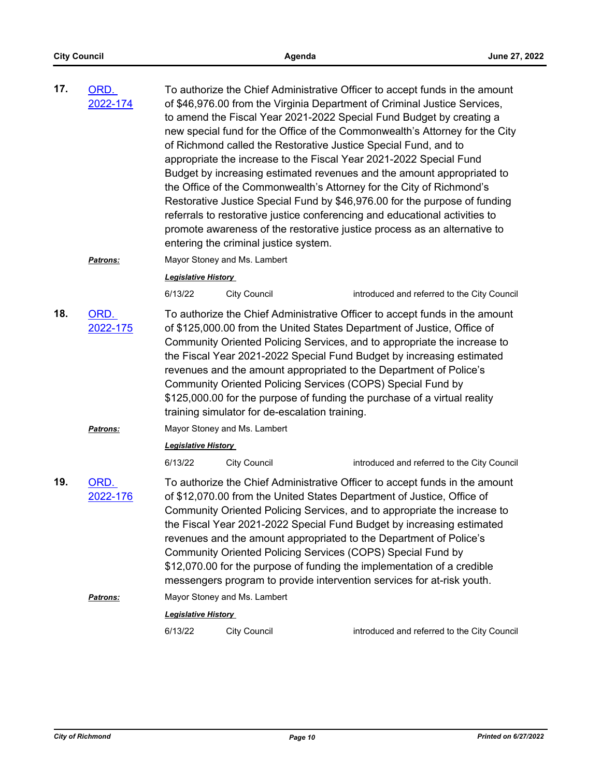| 17. | ORD.<br>2022-174 | To authorize the Chief Administrative Officer to accept funds in the amount<br>of \$46,976.00 from the Virginia Department of Criminal Justice Services,<br>to amend the Fiscal Year 2021-2022 Special Fund Budget by creating a<br>new special fund for the Office of the Commonwealth's Attorney for the City<br>of Richmond called the Restorative Justice Special Fund, and to<br>appropriate the increase to the Fiscal Year 2021-2022 Special Fund<br>Budget by increasing estimated revenues and the amount appropriated to<br>the Office of the Commonwealth's Attorney for the City of Richmond's<br>Restorative Justice Special Fund by \$46,976.00 for the purpose of funding<br>referrals to restorative justice conferencing and educational activities to<br>promote awareness of the restorative justice process as an alternative to |                                                                                                               |                                                                                                                                                                                                                                                                                                                                                                                                                                                                                                                                       |  |
|-----|------------------|------------------------------------------------------------------------------------------------------------------------------------------------------------------------------------------------------------------------------------------------------------------------------------------------------------------------------------------------------------------------------------------------------------------------------------------------------------------------------------------------------------------------------------------------------------------------------------------------------------------------------------------------------------------------------------------------------------------------------------------------------------------------------------------------------------------------------------------------------|---------------------------------------------------------------------------------------------------------------|---------------------------------------------------------------------------------------------------------------------------------------------------------------------------------------------------------------------------------------------------------------------------------------------------------------------------------------------------------------------------------------------------------------------------------------------------------------------------------------------------------------------------------------|--|
|     |                  |                                                                                                                                                                                                                                                                                                                                                                                                                                                                                                                                                                                                                                                                                                                                                                                                                                                      | entering the criminal justice system.                                                                         |                                                                                                                                                                                                                                                                                                                                                                                                                                                                                                                                       |  |
|     | <b>Patrons:</b>  |                                                                                                                                                                                                                                                                                                                                                                                                                                                                                                                                                                                                                                                                                                                                                                                                                                                      | Mayor Stoney and Ms. Lambert                                                                                  |                                                                                                                                                                                                                                                                                                                                                                                                                                                                                                                                       |  |
|     |                  | <b>Legislative History</b>                                                                                                                                                                                                                                                                                                                                                                                                                                                                                                                                                                                                                                                                                                                                                                                                                           |                                                                                                               |                                                                                                                                                                                                                                                                                                                                                                                                                                                                                                                                       |  |
|     |                  | 6/13/22                                                                                                                                                                                                                                                                                                                                                                                                                                                                                                                                                                                                                                                                                                                                                                                                                                              | <b>City Council</b>                                                                                           | introduced and referred to the City Council                                                                                                                                                                                                                                                                                                                                                                                                                                                                                           |  |
| 18. | ORD.<br>2022-175 |                                                                                                                                                                                                                                                                                                                                                                                                                                                                                                                                                                                                                                                                                                                                                                                                                                                      | Community Oriented Policing Services (COPS) Special Fund by<br>training simulator for de-escalation training. | To authorize the Chief Administrative Officer to accept funds in the amount<br>of \$125,000.00 from the United States Department of Justice, Office of<br>Community Oriented Policing Services, and to appropriate the increase to<br>the Fiscal Year 2021-2022 Special Fund Budget by increasing estimated<br>revenues and the amount appropriated to the Department of Police's<br>\$125,000.00 for the purpose of funding the purchase of a virtual reality                                                                        |  |
|     | <b>Patrons:</b>  |                                                                                                                                                                                                                                                                                                                                                                                                                                                                                                                                                                                                                                                                                                                                                                                                                                                      | Mayor Stoney and Ms. Lambert                                                                                  |                                                                                                                                                                                                                                                                                                                                                                                                                                                                                                                                       |  |
|     |                  | <b>Legislative History</b>                                                                                                                                                                                                                                                                                                                                                                                                                                                                                                                                                                                                                                                                                                                                                                                                                           |                                                                                                               |                                                                                                                                                                                                                                                                                                                                                                                                                                                                                                                                       |  |
|     |                  | 6/13/22                                                                                                                                                                                                                                                                                                                                                                                                                                                                                                                                                                                                                                                                                                                                                                                                                                              | <b>City Council</b>                                                                                           | introduced and referred to the City Council                                                                                                                                                                                                                                                                                                                                                                                                                                                                                           |  |
| 19. | ORD.<br>2022-176 |                                                                                                                                                                                                                                                                                                                                                                                                                                                                                                                                                                                                                                                                                                                                                                                                                                                      | Community Oriented Policing Services (COPS) Special Fund by                                                   | To authorize the Chief Administrative Officer to accept funds in the amount<br>of \$12,070.00 from the United States Department of Justice, Office of<br>Community Oriented Policing Services, and to appropriate the increase to<br>the Fiscal Year 2021-2022 Special Fund Budget by increasing estimated<br>revenues and the amount appropriated to the Department of Police's<br>\$12,070.00 for the purpose of funding the implementation of a credible<br>messengers program to provide intervention services for at-risk youth. |  |
|     | Patrons:         |                                                                                                                                                                                                                                                                                                                                                                                                                                                                                                                                                                                                                                                                                                                                                                                                                                                      | Mayor Stoney and Ms. Lambert                                                                                  |                                                                                                                                                                                                                                                                                                                                                                                                                                                                                                                                       |  |
|     |                  | <b>Legislative History</b><br>6/13/22                                                                                                                                                                                                                                                                                                                                                                                                                                                                                                                                                                                                                                                                                                                                                                                                                | <b>City Council</b>                                                                                           | introduced and referred to the City Council                                                                                                                                                                                                                                                                                                                                                                                                                                                                                           |  |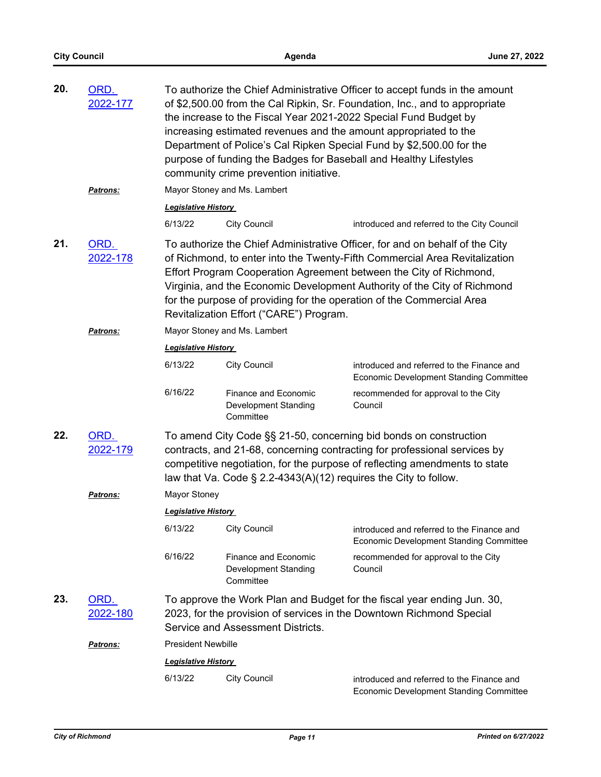| 20. | ORD.<br>2022-177<br>Patrons:                                                                                                                                                                                                                                                                                                                                                                                                                         |                            | To authorize the Chief Administrative Officer to accept funds in the amount<br>of \$2,500.00 from the Cal Ripkin, Sr. Foundation, Inc., and to appropriate<br>the increase to the Fiscal Year 2021-2022 Special Fund Budget by<br>increasing estimated revenues and the amount appropriated to the<br>Department of Police's Cal Ripken Special Fund by \$2,500.00 for the<br>purpose of funding the Badges for Baseball and Healthy Lifestyles<br>community crime prevention initiative.<br>Mayor Stoney and Ms. Lambert |                                                                                                                                                                                                                              |  |
|-----|------------------------------------------------------------------------------------------------------------------------------------------------------------------------------------------------------------------------------------------------------------------------------------------------------------------------------------------------------------------------------------------------------------------------------------------------------|----------------------------|---------------------------------------------------------------------------------------------------------------------------------------------------------------------------------------------------------------------------------------------------------------------------------------------------------------------------------------------------------------------------------------------------------------------------------------------------------------------------------------------------------------------------|------------------------------------------------------------------------------------------------------------------------------------------------------------------------------------------------------------------------------|--|
|     |                                                                                                                                                                                                                                                                                                                                                                                                                                                      | <b>Legislative History</b> |                                                                                                                                                                                                                                                                                                                                                                                                                                                                                                                           |                                                                                                                                                                                                                              |  |
|     |                                                                                                                                                                                                                                                                                                                                                                                                                                                      | 6/13/22                    | <b>City Council</b>                                                                                                                                                                                                                                                                                                                                                                                                                                                                                                       | introduced and referred to the City Council                                                                                                                                                                                  |  |
| 21. | ORD.<br>To authorize the Chief Administrative Officer, for and on behalf of the City<br>2022-178<br>of Richmond, to enter into the Twenty-Fifth Commercial Area Revitalization<br>Effort Program Cooperation Agreement between the City of Richmond,<br>Virginia, and the Economic Development Authority of the City of Richmond<br>for the purpose of providing for the operation of the Commercial Area<br>Revitalization Effort ("CARE") Program. |                            |                                                                                                                                                                                                                                                                                                                                                                                                                                                                                                                           |                                                                                                                                                                                                                              |  |
|     | Patrons:                                                                                                                                                                                                                                                                                                                                                                                                                                             |                            | Mayor Stoney and Ms. Lambert                                                                                                                                                                                                                                                                                                                                                                                                                                                                                              |                                                                                                                                                                                                                              |  |
|     |                                                                                                                                                                                                                                                                                                                                                                                                                                                      | <b>Legislative History</b> |                                                                                                                                                                                                                                                                                                                                                                                                                                                                                                                           |                                                                                                                                                                                                                              |  |
|     |                                                                                                                                                                                                                                                                                                                                                                                                                                                      | 6/13/22                    | <b>City Council</b>                                                                                                                                                                                                                                                                                                                                                                                                                                                                                                       | introduced and referred to the Finance and<br>Economic Development Standing Committee                                                                                                                                        |  |
|     |                                                                                                                                                                                                                                                                                                                                                                                                                                                      | 6/16/22                    | Finance and Economic<br>Development Standing<br>Committee                                                                                                                                                                                                                                                                                                                                                                                                                                                                 | recommended for approval to the City<br>Council                                                                                                                                                                              |  |
| 22. | ORD.<br>2022-179                                                                                                                                                                                                                                                                                                                                                                                                                                     |                            | law that Va. Code $\S$ 2.2-4343(A)(12) requires the City to follow.                                                                                                                                                                                                                                                                                                                                                                                                                                                       | To amend City Code §§ 21-50, concerning bid bonds on construction<br>contracts, and 21-68, concerning contracting for professional services by<br>competitive negotiation, for the purpose of reflecting amendments to state |  |
|     | Patrons:                                                                                                                                                                                                                                                                                                                                                                                                                                             | Mayor Stoney               |                                                                                                                                                                                                                                                                                                                                                                                                                                                                                                                           |                                                                                                                                                                                                                              |  |
|     |                                                                                                                                                                                                                                                                                                                                                                                                                                                      | <b>Legislative History</b> |                                                                                                                                                                                                                                                                                                                                                                                                                                                                                                                           |                                                                                                                                                                                                                              |  |
|     |                                                                                                                                                                                                                                                                                                                                                                                                                                                      | 6/13/22                    | <b>City Council</b>                                                                                                                                                                                                                                                                                                                                                                                                                                                                                                       | introduced and referred to the Finance and<br><b>Economic Development Standing Committee</b>                                                                                                                                 |  |
|     |                                                                                                                                                                                                                                                                                                                                                                                                                                                      | 6/16/22                    | <b>Finance and Economic</b><br>Development Standing<br>Committee                                                                                                                                                                                                                                                                                                                                                                                                                                                          | recommended for approval to the City<br>Council                                                                                                                                                                              |  |
| 23. | ORD.<br>2022-180                                                                                                                                                                                                                                                                                                                                                                                                                                     |                            | Service and Assessment Districts.                                                                                                                                                                                                                                                                                                                                                                                                                                                                                         | To approve the Work Plan and Budget for the fiscal year ending Jun. 30,<br>2023, for the provision of services in the Downtown Richmond Special                                                                              |  |
|     | <b>Patrons:</b>                                                                                                                                                                                                                                                                                                                                                                                                                                      | <b>President Newbille</b>  |                                                                                                                                                                                                                                                                                                                                                                                                                                                                                                                           |                                                                                                                                                                                                                              |  |
|     |                                                                                                                                                                                                                                                                                                                                                                                                                                                      | <b>Legislative History</b> |                                                                                                                                                                                                                                                                                                                                                                                                                                                                                                                           |                                                                                                                                                                                                                              |  |
|     |                                                                                                                                                                                                                                                                                                                                                                                                                                                      | 6/13/22                    | <b>City Council</b>                                                                                                                                                                                                                                                                                                                                                                                                                                                                                                       | introduced and referred to the Finance and<br>Economic Development Standing Committee                                                                                                                                        |  |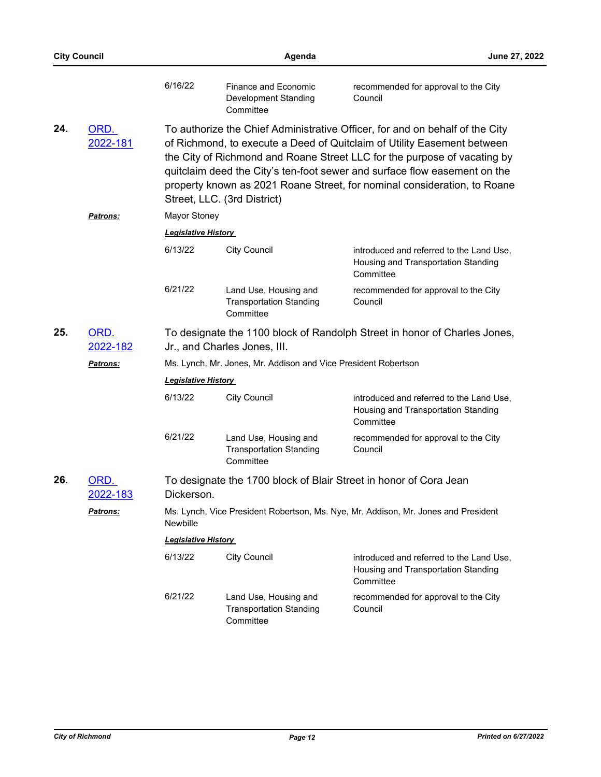|     | <b>City Council</b>     |                                                                                                           | Agenda                                                               |                                                                                                                                                                                                                                                                                                                                                                                              | June 27, 2022 |  |  |
|-----|-------------------------|-----------------------------------------------------------------------------------------------------------|----------------------------------------------------------------------|----------------------------------------------------------------------------------------------------------------------------------------------------------------------------------------------------------------------------------------------------------------------------------------------------------------------------------------------------------------------------------------------|---------------|--|--|
|     |                         | 6/16/22                                                                                                   | Finance and Economic<br>Development Standing<br>Committee            | recommended for approval to the City<br>Council                                                                                                                                                                                                                                                                                                                                              |               |  |  |
| 24. | ORD.<br>2022-181        |                                                                                                           | Street, LLC. (3rd District)                                          | To authorize the Chief Administrative Officer, for and on behalf of the City<br>of Richmond, to execute a Deed of Quitclaim of Utility Easement between<br>the City of Richmond and Roane Street LLC for the purpose of vacating by<br>quitclaim deed the City's ten-foot sewer and surface flow easement on the<br>property known as 2021 Roane Street, for nominal consideration, to Roane |               |  |  |
|     | <b>Patrons:</b>         | <b>Mayor Stoney</b>                                                                                       |                                                                      |                                                                                                                                                                                                                                                                                                                                                                                              |               |  |  |
|     |                         | <b>Legislative History</b>                                                                                |                                                                      |                                                                                                                                                                                                                                                                                                                                                                                              |               |  |  |
|     |                         | 6/13/22                                                                                                   | <b>City Council</b>                                                  | introduced and referred to the Land Use,<br>Housing and Transportation Standing<br>Committee                                                                                                                                                                                                                                                                                                 |               |  |  |
|     |                         | 6/21/22                                                                                                   | Land Use, Housing and<br><b>Transportation Standing</b><br>Committee | recommended for approval to the City<br>Council                                                                                                                                                                                                                                                                                                                                              |               |  |  |
| 25. | ORD.<br>2022-182        | To designate the 1100 block of Randolph Street in honor of Charles Jones,<br>Jr., and Charles Jones, III. |                                                                      |                                                                                                                                                                                                                                                                                                                                                                                              |               |  |  |
|     | <b>Patrons:</b>         |                                                                                                           | Ms. Lynch, Mr. Jones, Mr. Addison and Vice President Robertson       |                                                                                                                                                                                                                                                                                                                                                                                              |               |  |  |
|     |                         | <b>Legislative History</b>                                                                                |                                                                      |                                                                                                                                                                                                                                                                                                                                                                                              |               |  |  |
|     |                         | 6/13/22                                                                                                   | <b>City Council</b>                                                  | introduced and referred to the Land Use,<br>Housing and Transportation Standing<br>Committee                                                                                                                                                                                                                                                                                                 |               |  |  |
|     |                         | 6/21/22                                                                                                   | Land Use, Housing and<br><b>Transportation Standing</b><br>Committee | recommended for approval to the City<br>Council                                                                                                                                                                                                                                                                                                                                              |               |  |  |
| 26. | ORD.<br><u>2022-183</u> | Dickerson.                                                                                                |                                                                      | To designate the 1700 block of Blair Street in honor of Cora Jean                                                                                                                                                                                                                                                                                                                            |               |  |  |
|     | Patrons:                | Ms. Lynch, Vice President Robertson, Ms. Nye, Mr. Addison, Mr. Jones and President<br>Newbille            |                                                                      |                                                                                                                                                                                                                                                                                                                                                                                              |               |  |  |
|     |                         | <b>Legislative History</b>                                                                                |                                                                      |                                                                                                                                                                                                                                                                                                                                                                                              |               |  |  |
|     |                         | 6/13/22                                                                                                   | <b>City Council</b>                                                  | introduced and referred to the Land Use,<br>Housing and Transportation Standing<br>Committee                                                                                                                                                                                                                                                                                                 |               |  |  |
|     |                         | 6/21/22                                                                                                   | Land Use, Housing and<br><b>Transportation Standing</b><br>Committee | recommended for approval to the City<br>Council                                                                                                                                                                                                                                                                                                                                              |               |  |  |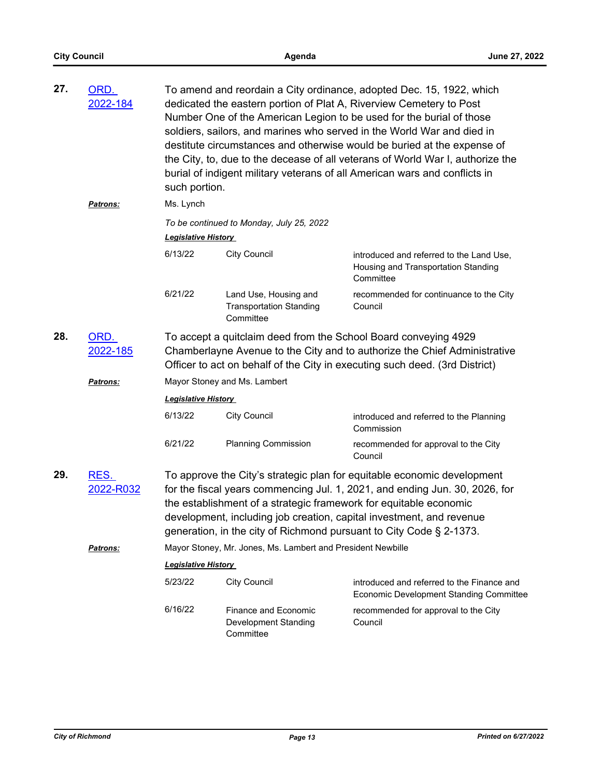| 27. | ORD.<br>2022-184  | such portion.                                                                                                                                                                                                               |                                                                                                                                                                                                                                                                                                                                                                            | To amend and reordain a City ordinance, adopted Dec. 15, 1922, which<br>dedicated the eastern portion of Plat A, Riverview Cemetery to Post<br>Number One of the American Legion to be used for the burial of those<br>soldiers, sailors, and marines who served in the World War and died in<br>destitute circumstances and otherwise would be buried at the expense of<br>the City, to, due to the decease of all veterans of World War I, authorize the<br>burial of indigent military veterans of all American wars and conflicts in |  |  |
|-----|-------------------|-----------------------------------------------------------------------------------------------------------------------------------------------------------------------------------------------------------------------------|----------------------------------------------------------------------------------------------------------------------------------------------------------------------------------------------------------------------------------------------------------------------------------------------------------------------------------------------------------------------------|------------------------------------------------------------------------------------------------------------------------------------------------------------------------------------------------------------------------------------------------------------------------------------------------------------------------------------------------------------------------------------------------------------------------------------------------------------------------------------------------------------------------------------------|--|--|
|     | <b>Patrons:</b>   | Ms. Lynch                                                                                                                                                                                                                   |                                                                                                                                                                                                                                                                                                                                                                            |                                                                                                                                                                                                                                                                                                                                                                                                                                                                                                                                          |  |  |
|     |                   |                                                                                                                                                                                                                             | To be continued to Monday, July 25, 2022                                                                                                                                                                                                                                                                                                                                   |                                                                                                                                                                                                                                                                                                                                                                                                                                                                                                                                          |  |  |
|     |                   | <b>Legislative History</b>                                                                                                                                                                                                  |                                                                                                                                                                                                                                                                                                                                                                            |                                                                                                                                                                                                                                                                                                                                                                                                                                                                                                                                          |  |  |
|     |                   | 6/13/22                                                                                                                                                                                                                     | <b>City Council</b>                                                                                                                                                                                                                                                                                                                                                        | introduced and referred to the Land Use,<br>Housing and Transportation Standing<br>Committee                                                                                                                                                                                                                                                                                                                                                                                                                                             |  |  |
|     |                   | 6/21/22                                                                                                                                                                                                                     | Land Use, Housing and<br><b>Transportation Standing</b><br>Committee                                                                                                                                                                                                                                                                                                       | recommended for continuance to the City<br>Council                                                                                                                                                                                                                                                                                                                                                                                                                                                                                       |  |  |
| 28. | ORD.<br>2022-185  | To accept a quitclaim deed from the School Board conveying 4929<br>Chamberlayne Avenue to the City and to authorize the Chief Administrative<br>Officer to act on behalf of the City in executing such deed. (3rd District) |                                                                                                                                                                                                                                                                                                                                                                            |                                                                                                                                                                                                                                                                                                                                                                                                                                                                                                                                          |  |  |
|     | <b>Patrons:</b>   | Mayor Stoney and Ms. Lambert                                                                                                                                                                                                |                                                                                                                                                                                                                                                                                                                                                                            |                                                                                                                                                                                                                                                                                                                                                                                                                                                                                                                                          |  |  |
|     |                   | <b>Legislative History</b>                                                                                                                                                                                                  |                                                                                                                                                                                                                                                                                                                                                                            |                                                                                                                                                                                                                                                                                                                                                                                                                                                                                                                                          |  |  |
|     |                   | 6/13/22                                                                                                                                                                                                                     | <b>City Council</b>                                                                                                                                                                                                                                                                                                                                                        | introduced and referred to the Planning<br>Commission                                                                                                                                                                                                                                                                                                                                                                                                                                                                                    |  |  |
|     |                   | 6/21/22                                                                                                                                                                                                                     | <b>Planning Commission</b>                                                                                                                                                                                                                                                                                                                                                 | recommended for approval to the City<br>Council                                                                                                                                                                                                                                                                                                                                                                                                                                                                                          |  |  |
| 29. | RES.<br>2022-R032 |                                                                                                                                                                                                                             | To approve the City's strategic plan for equitable economic development<br>for the fiscal years commencing Jul. 1, 2021, and ending Jun. 30, 2026, for<br>the establishment of a strategic framework for equitable economic<br>development, including job creation, capital investment, and revenue<br>generation, in the city of Richmond pursuant to City Code § 2-1373. |                                                                                                                                                                                                                                                                                                                                                                                                                                                                                                                                          |  |  |
|     | Patrons:          |                                                                                                                                                                                                                             | Mayor Stoney, Mr. Jones, Ms. Lambert and President Newbille                                                                                                                                                                                                                                                                                                                |                                                                                                                                                                                                                                                                                                                                                                                                                                                                                                                                          |  |  |
|     |                   | <b>Legislative History</b>                                                                                                                                                                                                  |                                                                                                                                                                                                                                                                                                                                                                            |                                                                                                                                                                                                                                                                                                                                                                                                                                                                                                                                          |  |  |
|     |                   | 5/23/22                                                                                                                                                                                                                     | <b>City Council</b>                                                                                                                                                                                                                                                                                                                                                        | introduced and referred to the Finance and<br><b>Economic Development Standing Committee</b>                                                                                                                                                                                                                                                                                                                                                                                                                                             |  |  |
|     |                   | 6/16/22                                                                                                                                                                                                                     | Finance and Economic<br>Development Standing<br>Committee                                                                                                                                                                                                                                                                                                                  | recommended for approval to the City<br>Council                                                                                                                                                                                                                                                                                                                                                                                                                                                                                          |  |  |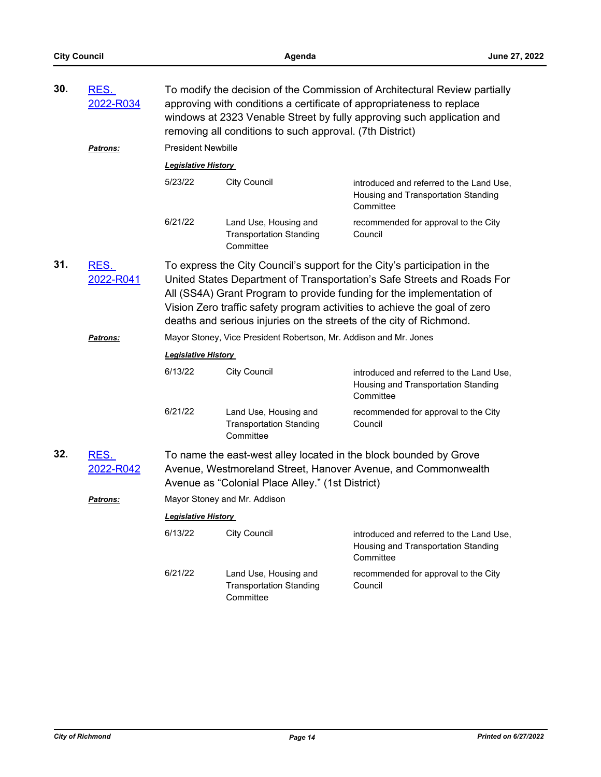| 30. | To modify the decision of the Commission of Architectural Review partially<br>RES.<br>2022-R034<br>approving with conditions a certificate of appropriateness to replace<br>windows at 2323 Venable Street by fully approving such application and<br>removing all conditions to such approval. (7th District) |                                                                                                                                                                                                                                                                                                                                                                                   |                                                                      |                                                                                              |  |
|-----|----------------------------------------------------------------------------------------------------------------------------------------------------------------------------------------------------------------------------------------------------------------------------------------------------------------|-----------------------------------------------------------------------------------------------------------------------------------------------------------------------------------------------------------------------------------------------------------------------------------------------------------------------------------------------------------------------------------|----------------------------------------------------------------------|----------------------------------------------------------------------------------------------|--|
|     | Patrons:                                                                                                                                                                                                                                                                                                       | <b>President Newbille</b>                                                                                                                                                                                                                                                                                                                                                         |                                                                      |                                                                                              |  |
|     |                                                                                                                                                                                                                                                                                                                | <b>Legislative History</b>                                                                                                                                                                                                                                                                                                                                                        |                                                                      |                                                                                              |  |
|     |                                                                                                                                                                                                                                                                                                                | 5/23/22                                                                                                                                                                                                                                                                                                                                                                           | <b>City Council</b>                                                  | introduced and referred to the Land Use,<br>Housing and Transportation Standing<br>Committee |  |
|     |                                                                                                                                                                                                                                                                                                                | 6/21/22                                                                                                                                                                                                                                                                                                                                                                           | Land Use, Housing and<br><b>Transportation Standing</b><br>Committee | recommended for approval to the City<br>Council                                              |  |
| 31. | <u>RES.</u><br>2022-R041                                                                                                                                                                                                                                                                                       | To express the City Council's support for the City's participation in the<br>United States Department of Transportation's Safe Streets and Roads For<br>All (SS4A) Grant Program to provide funding for the implementation of<br>Vision Zero traffic safety program activities to achieve the goal of zero<br>deaths and serious injuries on the streets of the city of Richmond. |                                                                      |                                                                                              |  |
|     | <b>Patrons:</b>                                                                                                                                                                                                                                                                                                | Mayor Stoney, Vice President Robertson, Mr. Addison and Mr. Jones                                                                                                                                                                                                                                                                                                                 |                                                                      |                                                                                              |  |
|     |                                                                                                                                                                                                                                                                                                                | <b>Legislative History</b>                                                                                                                                                                                                                                                                                                                                                        |                                                                      |                                                                                              |  |
|     |                                                                                                                                                                                                                                                                                                                | 6/13/22                                                                                                                                                                                                                                                                                                                                                                           | <b>City Council</b>                                                  | introduced and referred to the Land Use,<br>Housing and Transportation Standing<br>Committee |  |
|     |                                                                                                                                                                                                                                                                                                                | 6/21/22                                                                                                                                                                                                                                                                                                                                                                           | Land Use, Housing and<br><b>Transportation Standing</b><br>Committee | recommended for approval to the City<br>Council                                              |  |
| 32. | RES.<br><u>2022-R042</u>                                                                                                                                                                                                                                                                                       | To name the east-west alley located in the block bounded by Grove<br>Avenue, Westmoreland Street, Hanover Avenue, and Commonwealth<br>Avenue as "Colonial Place Alley." (1st District)                                                                                                                                                                                            |                                                                      |                                                                                              |  |
|     | <u>Patrons:</u>                                                                                                                                                                                                                                                                                                | Mayor Stoney and Mr. Addison                                                                                                                                                                                                                                                                                                                                                      |                                                                      |                                                                                              |  |
|     |                                                                                                                                                                                                                                                                                                                | <b>Legislative History</b>                                                                                                                                                                                                                                                                                                                                                        |                                                                      |                                                                                              |  |
|     |                                                                                                                                                                                                                                                                                                                | 6/13/22                                                                                                                                                                                                                                                                                                                                                                           | <b>City Council</b>                                                  | introduced and referred to the Land Use,<br>Housing and Transportation Standing<br>Committee |  |
|     |                                                                                                                                                                                                                                                                                                                | 6/21/22                                                                                                                                                                                                                                                                                                                                                                           | Land Use, Housing and<br><b>Transportation Standing</b><br>Committee | recommended for approval to the City<br>Council                                              |  |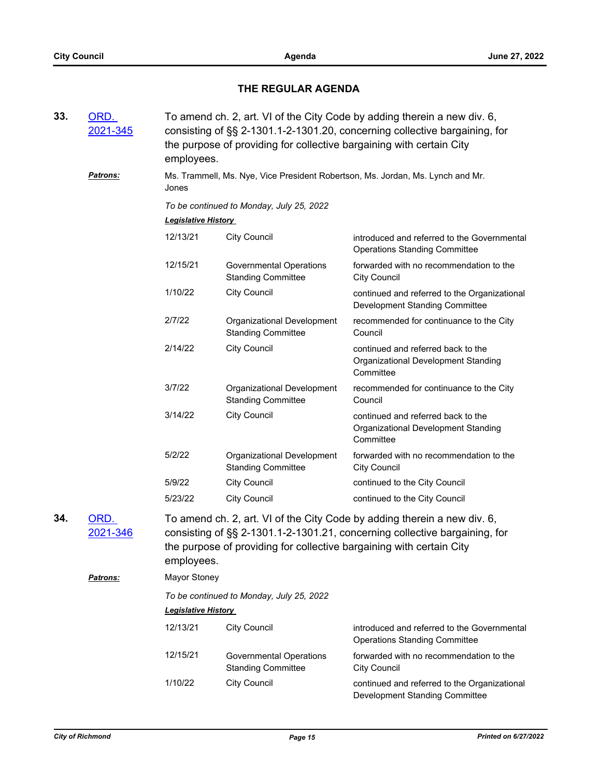# **THE REGULAR AGENDA**

| 33. | ORD.<br>2021-345                    | To amend ch. 2, art. VI of the City Code by adding therein a new div. 6,<br>consisting of §§ 2-1301.1-2-1301.20, concerning collective bargaining, for<br>the purpose of providing for collective bargaining with certain City<br>employees.                        |                                                             |                                                                                        |  |
|-----|-------------------------------------|---------------------------------------------------------------------------------------------------------------------------------------------------------------------------------------------------------------------------------------------------------------------|-------------------------------------------------------------|----------------------------------------------------------------------------------------|--|
|     | Patrons:                            | Ms. Trammell, Ms. Nye, Vice President Robertson, Ms. Jordan, Ms. Lynch and Mr.<br>Jones                                                                                                                                                                             |                                                             |                                                                                        |  |
|     |                                     | To be continued to Monday, July 25, 2022                                                                                                                                                                                                                            |                                                             |                                                                                        |  |
|     |                                     | <b>Legislative History</b>                                                                                                                                                                                                                                          |                                                             |                                                                                        |  |
|     |                                     | 12/13/21                                                                                                                                                                                                                                                            | <b>City Council</b>                                         | introduced and referred to the Governmental<br><b>Operations Standing Committee</b>    |  |
|     |                                     | 12/15/21                                                                                                                                                                                                                                                            | <b>Governmental Operations</b><br><b>Standing Committee</b> | forwarded with no recommendation to the<br><b>City Council</b>                         |  |
|     |                                     | 1/10/22                                                                                                                                                                                                                                                             | <b>City Council</b>                                         | continued and referred to the Organizational<br>Development Standing Committee         |  |
|     |                                     | 2/7/22                                                                                                                                                                                                                                                              | Organizational Development<br><b>Standing Committee</b>     | recommended for continuance to the City<br>Council                                     |  |
|     |                                     | 2/14/22                                                                                                                                                                                                                                                             | <b>City Council</b>                                         | continued and referred back to the<br>Organizational Development Standing<br>Committee |  |
|     |                                     | 3/7/22                                                                                                                                                                                                                                                              | Organizational Development<br><b>Standing Committee</b>     | recommended for continuance to the City<br>Council                                     |  |
|     |                                     | 3/14/22                                                                                                                                                                                                                                                             | <b>City Council</b>                                         | continued and referred back to the<br>Organizational Development Standing<br>Committee |  |
|     |                                     | 5/2/22                                                                                                                                                                                                                                                              | Organizational Development<br><b>Standing Committee</b>     | forwarded with no recommendation to the<br><b>City Council</b>                         |  |
|     |                                     | 5/9/22                                                                                                                                                                                                                                                              | <b>City Council</b>                                         | continued to the City Council                                                          |  |
|     |                                     | 5/23/22                                                                                                                                                                                                                                                             | <b>City Council</b>                                         | continued to the City Council                                                          |  |
| 34. | ORD.<br>2021-346<br><b>Patrons:</b> | To amend ch. 2, art. VI of the City Code by adding therein a new div. 6,<br>consisting of §§ 2-1301.1-2-1301.21, concerning collective bargaining, for<br>the purpose of providing for collective bargaining with certain City<br>employees.<br><b>Mayor Stoney</b> |                                                             |                                                                                        |  |
|     |                                     |                                                                                                                                                                                                                                                                     |                                                             |                                                                                        |  |
|     |                                     | To be continued to Monday, July 25, 2022<br><b>Legislative History</b>                                                                                                                                                                                              |                                                             |                                                                                        |  |
|     |                                     | 12/13/21                                                                                                                                                                                                                                                            | <b>City Council</b>                                         | introduced and referred to the Governmental<br><b>Operations Standing Committee</b>    |  |
|     |                                     | 12/15/21                                                                                                                                                                                                                                                            | <b>Governmental Operations</b><br><b>Standing Committee</b> | forwarded with no recommendation to the<br><b>City Council</b>                         |  |
|     |                                     | 1/10/22                                                                                                                                                                                                                                                             | <b>City Council</b>                                         | continued and referred to the Organizational<br>Development Standing Committee         |  |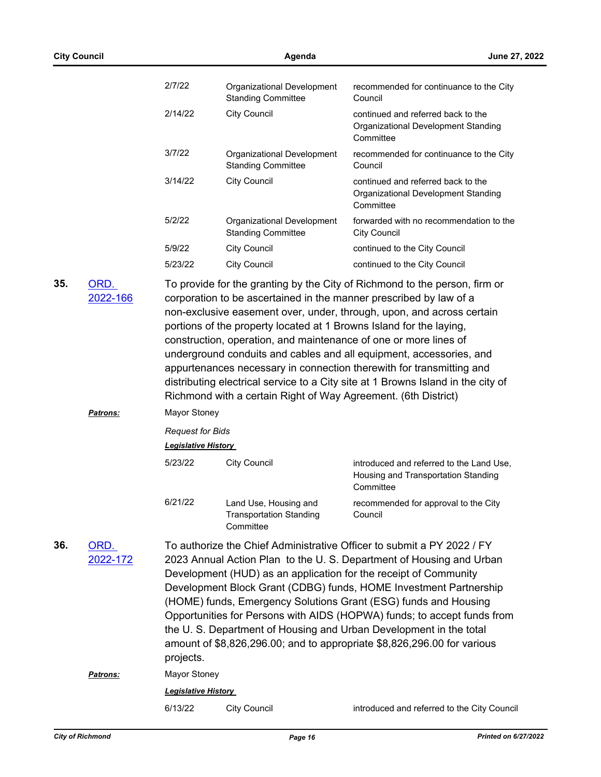|     | <b>City Council</b> |                                                       | Agenda                                                                                                                                                                                                                                                                                                                                                                                                                                                                                                                                                                               | June 27, 2022                                                                                |  |  |
|-----|---------------------|-------------------------------------------------------|--------------------------------------------------------------------------------------------------------------------------------------------------------------------------------------------------------------------------------------------------------------------------------------------------------------------------------------------------------------------------------------------------------------------------------------------------------------------------------------------------------------------------------------------------------------------------------------|----------------------------------------------------------------------------------------------|--|--|
|     |                     | 2/7/22                                                | Organizational Development<br><b>Standing Committee</b>                                                                                                                                                                                                                                                                                                                                                                                                                                                                                                                              | recommended for continuance to the City<br>Council                                           |  |  |
|     |                     | 2/14/22                                               | <b>City Council</b>                                                                                                                                                                                                                                                                                                                                                                                                                                                                                                                                                                  | continued and referred back to the<br>Organizational Development Standing<br>Committee       |  |  |
|     |                     | 3/7/22                                                | Organizational Development<br><b>Standing Committee</b>                                                                                                                                                                                                                                                                                                                                                                                                                                                                                                                              | recommended for continuance to the City<br>Council                                           |  |  |
|     |                     | 3/14/22                                               | <b>City Council</b>                                                                                                                                                                                                                                                                                                                                                                                                                                                                                                                                                                  | continued and referred back to the<br>Organizational Development Standing<br>Committee       |  |  |
|     |                     | 5/2/22                                                | Organizational Development<br><b>Standing Committee</b>                                                                                                                                                                                                                                                                                                                                                                                                                                                                                                                              | forwarded with no recommendation to the<br><b>City Council</b>                               |  |  |
|     |                     | 5/9/22                                                | <b>City Council</b>                                                                                                                                                                                                                                                                                                                                                                                                                                                                                                                                                                  | continued to the City Council                                                                |  |  |
|     |                     | 5/23/22                                               | <b>City Council</b>                                                                                                                                                                                                                                                                                                                                                                                                                                                                                                                                                                  | continued to the City Council                                                                |  |  |
|     |                     |                                                       | non-exclusive easement over, under, through, upon, and across certain<br>portions of the property located at 1 Browns Island for the laying,<br>construction, operation, and maintenance of one or more lines of<br>underground conduits and cables and all equipment, accessories, and<br>appurtenances necessary in connection therewith for transmitting and<br>distributing electrical service to a City site at 1 Browns Island in the city of<br>Richmond with a certain Right of Way Agreement. (6th District)                                                                |                                                                                              |  |  |
|     | <b>Patrons:</b>     | <b>Mayor Stoney</b>                                   |                                                                                                                                                                                                                                                                                                                                                                                                                                                                                                                                                                                      |                                                                                              |  |  |
|     |                     | <b>Request for Bids</b><br><b>Legislative History</b> |                                                                                                                                                                                                                                                                                                                                                                                                                                                                                                                                                                                      |                                                                                              |  |  |
|     |                     | 5/23/22                                               | <b>City Council</b>                                                                                                                                                                                                                                                                                                                                                                                                                                                                                                                                                                  | introduced and referred to the Land Use,<br>Housing and Transportation Standing<br>Committee |  |  |
|     |                     | 6/21/22                                               | Land Use, Housing and<br><b>Transportation Standing</b><br>Committee                                                                                                                                                                                                                                                                                                                                                                                                                                                                                                                 | recommended for approval to the City<br>Council                                              |  |  |
| 36. | ORD.<br>2022-172    | projects.                                             | To authorize the Chief Administrative Officer to submit a PY 2022 / FY<br>2023 Annual Action Plan to the U.S. Department of Housing and Urban<br>Development (HUD) as an application for the receipt of Community<br>Development Block Grant (CDBG) funds, HOME Investment Partnership<br>(HOME) funds, Emergency Solutions Grant (ESG) funds and Housing<br>Opportunities for Persons with AIDS (HOPWA) funds; to accept funds from<br>the U.S. Department of Housing and Urban Development in the total<br>amount of \$8,826,296.00; and to appropriate \$8,826,296.00 for various |                                                                                              |  |  |
|     | <u>Patrons:</u>     | Mayor Stoney                                          |                                                                                                                                                                                                                                                                                                                                                                                                                                                                                                                                                                                      |                                                                                              |  |  |
|     |                     | <b>Legislative History</b>                            |                                                                                                                                                                                                                                                                                                                                                                                                                                                                                                                                                                                      |                                                                                              |  |  |
|     |                     | 6/13/22                                               | <b>City Council</b>                                                                                                                                                                                                                                                                                                                                                                                                                                                                                                                                                                  | introduced and referred to the City Council                                                  |  |  |